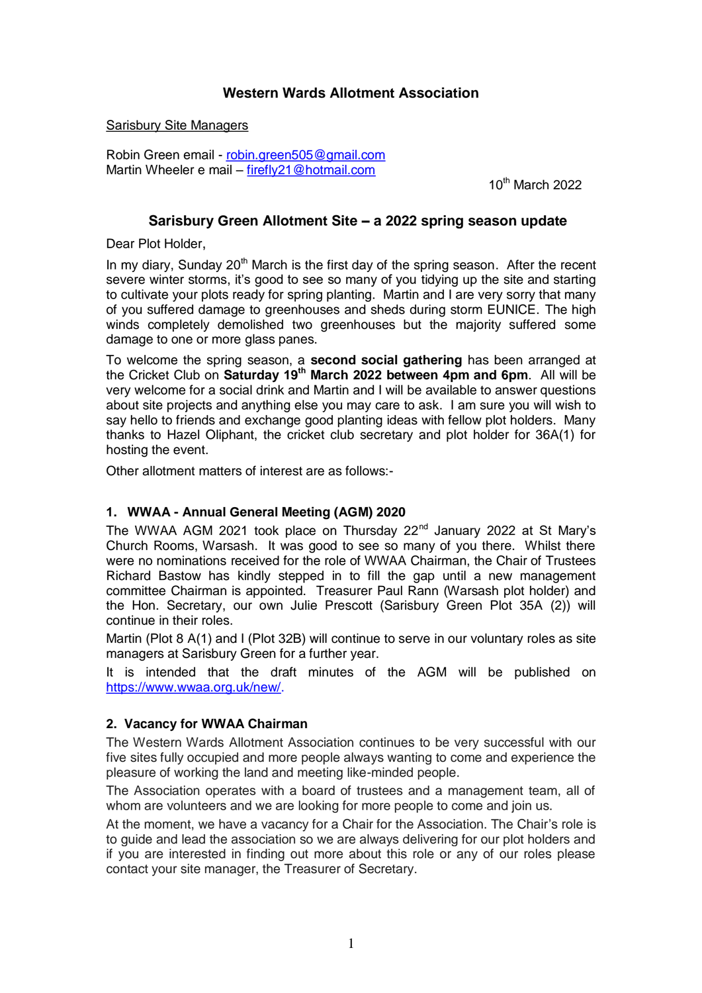## **Western Wards Allotment Association**

Sarisbury Site Managers

Robin Green email - [robin.green505@gmail.com](mailto:robin.green505@gmail.com) Martin Wheeler e mail – firefly21@hotmail.com

 $10^{th}$  March 2022

### **Sarisbury Green Allotment Site – a 2022 spring season update**

Dear Plot Holder,

In my diary, Sunday  $20<sup>th</sup>$  March is the first day of the spring season. After the recent severe winter storms, it's good to see so many of you tidying up the site and starting to cultivate your plots ready for spring planting. Martin and I are very sorry that many of you suffered damage to greenhouses and sheds during storm EUNICE. The high winds completely demolished two greenhouses but the majority suffered some damage to one or more glass panes.

To welcome the spring season, a **second social gathering** has been arranged at the Cricket Club on **Saturday 19th March 2022 between 4pm and 6pm**. All will be very welcome for a social drink and Martin and I will be available to answer questions about site projects and anything else you may care to ask. I am sure you will wish to say hello to friends and exchange good planting ideas with fellow plot holders. Many thanks to Hazel Oliphant, the cricket club secretary and plot holder for 36A(1) for hosting the event.

Other allotment matters of interest are as follows:-

#### **1. WWAA - Annual General Meeting (AGM) 2020**

The WWAA AGM 2021 took place on Thursday 22<sup>nd</sup> January 2022 at St Mary's Church Rooms, Warsash. It was good to see so many of you there. Whilst there were no nominations received for the role of WWAA Chairman, the Chair of Trustees Richard Bastow has kindly stepped in to fill the gap until a new management committee Chairman is appointed. Treasurer Paul Rann (Warsash plot holder) and the Hon. Secretary, our own Julie Prescott (Sarisbury Green Plot 35A (2)) will continue in their roles.

Martin (Plot 8 A(1) and I (Plot 32B) will continue to serve in our voluntary roles as site managers at Sarisbury Green for a further year.

It is intended that the draft minutes of the AGM will be published on [https://www.wwaa.org.uk/new/.](https://www.wwaa.org.uk/new/)

#### **2. Vacancy for WWAA Chairman**

The Western Wards Allotment Association continues to be very successful with our five sites fully occupied and more people always wanting to come and experience the pleasure of working the land and meeting like-minded people.

The Association operates with a board of trustees and a management team, all of whom are volunteers and we are looking for more people to come and join us.

At the moment, we have a vacancy for a Chair for the Association. The Chair's role is to guide and lead the association so we are always delivering for our plot holders and if you are interested in finding out more about this role or any of our roles please contact your site manager, the Treasurer of Secretary.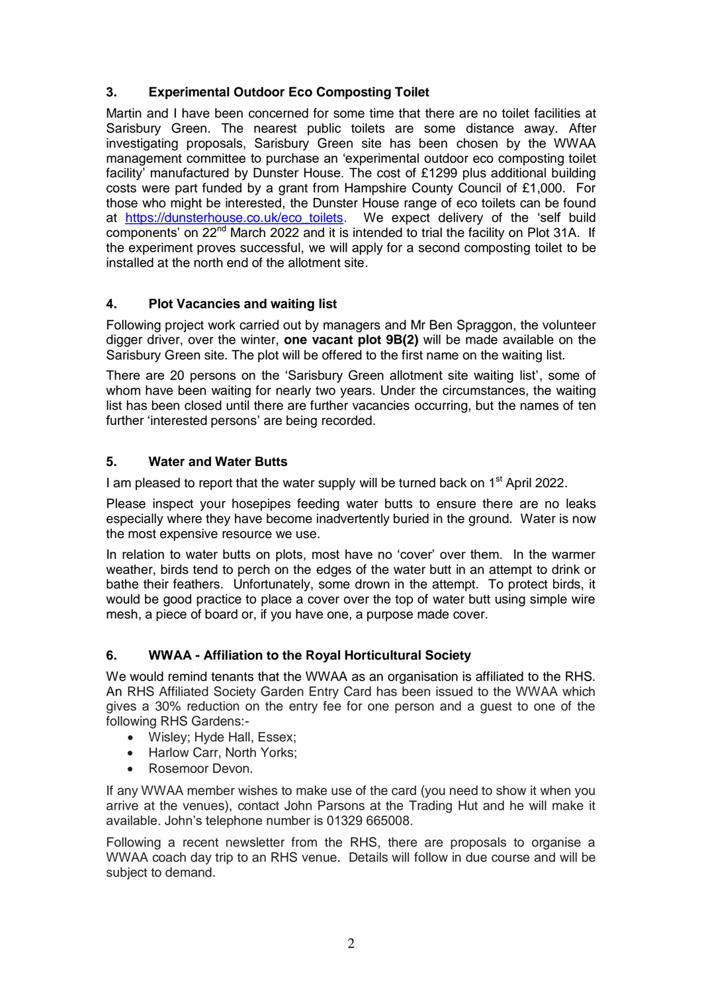## **3. Experimental Outdoor Eco Composting Toilet**

Martin and I have been concerned for some time that there are no toilet facilities at Sarisbury Green. The nearest public toilets are some distance away. After investigating proposals, Sarisbury Green site has been chosen by the WWAA management committee to purchase an 'experimental outdoor eco composting toilet facility' manufactured by Dunster House. The cost of £1299 plus additional building costs were part funded by a grant from Hampshire County Council of £1,000. For those who might be interested, the Dunster House range of eco toilets can be found at [https://dunsterhouse.co.uk/eco\\_toilets.](https://dunsterhouse.co.uk/eco_toilets) We expect delivery of the 'self build components' on 22<sup>nd</sup> March 2022 and it is intended to trial the facility on Plot 31A. If the experiment proves successful, we will apply for a second composting toilet to be installed at the north end of the allotment site.

## **4. Plot Vacancies and waiting list**

Following project work carried out by managers and Mr Ben Spraggon, the volunteer digger driver, over the winter, **one vacant plot 9B(2)** will be made available on the Sarisbury Green site. The plot will be offered to the first name on the waiting list.

There are 20 persons on the 'Sarisbury Green allotment site waiting list', some of whom have been waiting for nearly two years. Under the circumstances, the waiting list has been closed until there are further vacancies occurring, but the names of ten further 'interested persons' are being recorded.

## **5. Water and Water Butts**

I am pleased to report that the water supply will be turned back on 1<sup>st</sup> April 2022.

Please inspect your hosepipes feeding water butts to ensure there are no leaks especially where they have become inadvertently buried in the ground. Water is now the most expensive resource we use.

In relation to water butts on plots, most have no 'cover' over them. In the warmer weather, birds tend to perch on the edges of the water butt in an attempt to drink or bathe their feathers. Unfortunately, some drown in the attempt. To protect birds, it would be good practice to place a cover over the top of water butt using simple wire mesh, a piece of board or, if you have one, a purpose made cover.

## **6. WWAA - Affiliation to the Royal Horticultural Society**

We would remind tenants that the WWAA as an organisation is affiliated to the RHS. An RHS Affiliated Society Garden Entry Card has been issued to the WWAA which gives a 30% reduction on the entry fee for one person and a guest to one of the following RHS Gardens:-

- Wisley; Hyde Hall, Essex;
- Harlow Carr, North Yorks;
- Rosemoor Devon.

If any WWAA member wishes to make use of the card (you need to show it when you arrive at the venues), contact John Parsons at the Trading Hut and he will make it available. John's telephone number is 01329 665008.

Following a recent newsletter from the RHS, there are proposals to organise a WWAA coach day trip to an RHS venue. Details will follow in due course and will be subject to demand.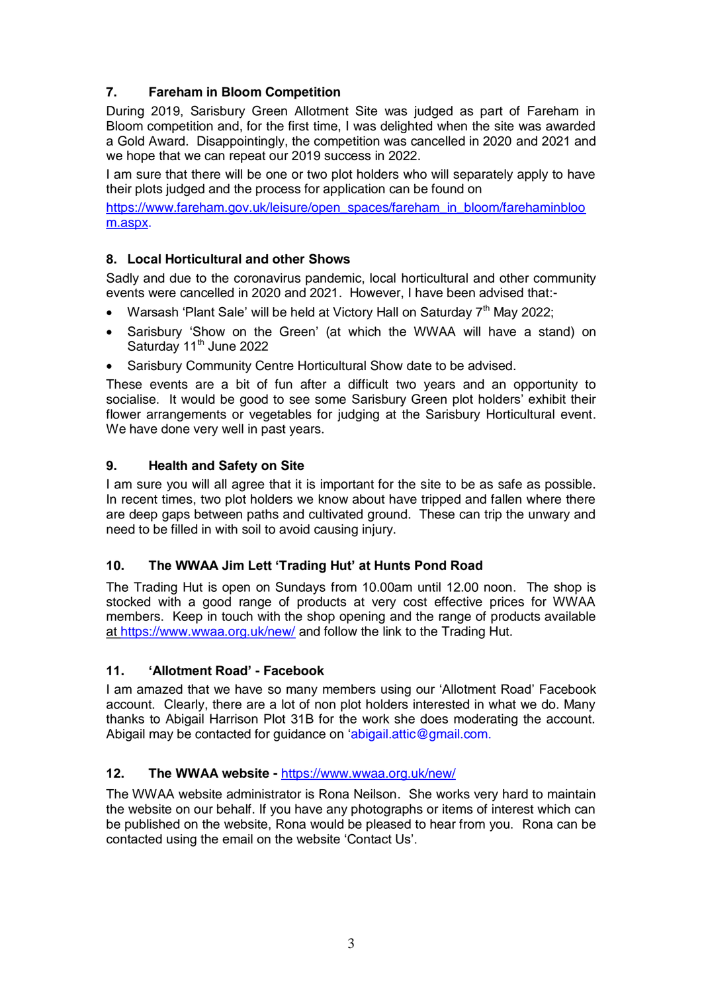# **7. Fareham in Bloom Competition**

During 2019, Sarisbury Green Allotment Site was judged as part of Fareham in Bloom competition and, for the first time, I was delighted when the site was awarded a Gold Award. Disappointingly, the competition was cancelled in 2020 and 2021 and we hope that we can repeat our 2019 success in 2022.

I am sure that there will be one or two plot holders who will separately apply to have their plots judged and the process for application can be found on

[https://www.fareham.gov.uk/leisure/open\\_spaces/fareham\\_in\\_bloom/farehaminbloo](https://www.fareham.gov.uk/leisure/open_spaces/fareham_in_bloom/farehaminbloom.aspx) [m.aspx.](https://www.fareham.gov.uk/leisure/open_spaces/fareham_in_bloom/farehaminbloom.aspx)

## **8. Local Horticultural and other Shows**

Sadly and due to the coronavirus pandemic, local horticultural and other community events were cancelled in 2020 and 2021. However, I have been advised that:-

- Warsash 'Plant Sale' will be held at Victory Hall on Saturday 7<sup>th</sup> May 2022;
- Sarisbury 'Show on the Green' (at which the WWAA will have a stand) on Saturday 11<sup>th</sup> June 2022
- Sarisbury Community Centre Horticultural Show date to be advised.

These events are a bit of fun after a difficult two years and an opportunity to socialise. It would be good to see some Sarisbury Green plot holders' exhibit their flower arrangements or vegetables for judging at the Sarisbury Horticultural event. We have done very well in past years.

## **9. Health and Safety on Site**

I am sure you will all agree that it is important for the site to be as safe as possible. In recent times, two plot holders we know about have tripped and fallen where there are deep gaps between paths and cultivated ground. These can trip the unwary and need to be filled in with soil to avoid causing injury.

## **10. The WWAA Jim Lett 'Trading Hut' at Hunts Pond Road**

The Trading Hut is open on Sundays from 10.00am until 12.00 noon. The shop is stocked with a good range of products at very cost effective prices for WWAA members. Keep in touch with the shop opening and the range of products available at<https://www.wwaa.org.uk/new/> and follow the link to the Trading Hut.

## **11. 'Allotment Road' - Facebook**

I am amazed that we have so many members using our 'Allotment Road' Facebook account. Clearly, there are a lot of non plot holders interested in what we do. Many thanks to Abigail Harrison Plot 31B for the work she does moderating the account. Abigail may be contacted for guidance on 'abigail.attic@gmail.com.

#### **12. The WWAA website -** <https://www.wwaa.org.uk/new/>

The WWAA website administrator is Rona Neilson. She works very hard to maintain the website on our behalf. If you have any photographs or items of interest which can be published on the website, Rona would be pleased to hear from you. Rona can be contacted using the email on the website 'Contact Us'.